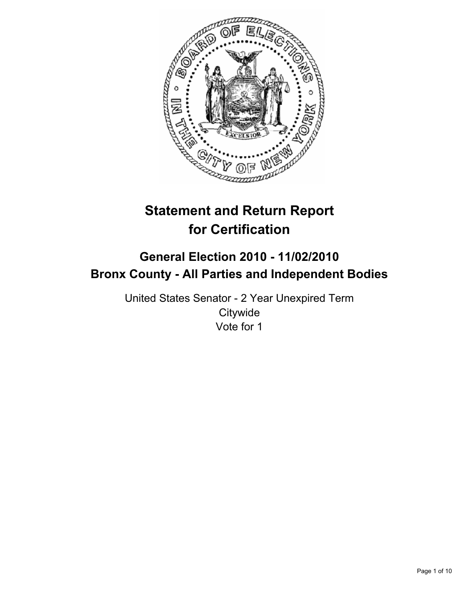

# **Statement and Return Report for Certification**

# **General Election 2010 - 11/02/2010 Bronx County - All Parties and Independent Bodies**

United States Senator - 2 Year Unexpired Term **Citywide** Vote for 1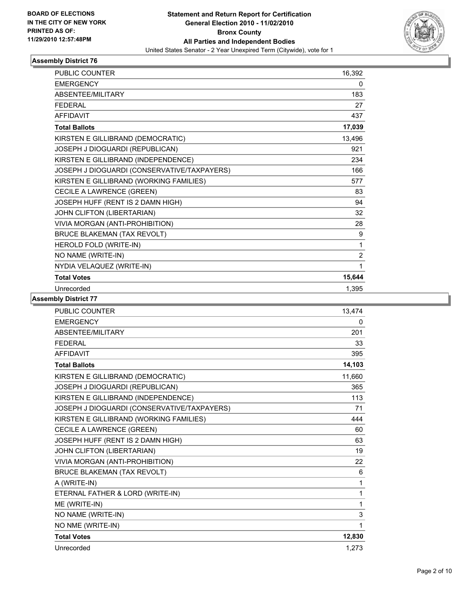

| <b>PUBLIC COUNTER</b>                       | 16,392         |
|---------------------------------------------|----------------|
| <b>EMERGENCY</b>                            | 0              |
| ABSENTEE/MILITARY                           | 183            |
| <b>FEDERAL</b>                              | 27             |
| <b>AFFIDAVIT</b>                            | 437            |
| <b>Total Ballots</b>                        | 17,039         |
| KIRSTEN E GILLIBRAND (DEMOCRATIC)           | 13,496         |
| JOSEPH J DIOGUARDI (REPUBLICAN)             | 921            |
| KIRSTEN E GILLIBRAND (INDEPENDENCE)         | 234            |
| JOSEPH J DIOGUARDI (CONSERVATIVE/TAXPAYERS) | 166            |
| KIRSTEN E GILLIBRAND (WORKING FAMILIES)     | 577            |
| CECILE A LAWRENCE (GREEN)                   | 83             |
| JOSEPH HUFF (RENT IS 2 DAMN HIGH)           | 94             |
| JOHN CLIFTON (LIBERTARIAN)                  | 32             |
| VIVIA MORGAN (ANTI-PROHIBITION)             | 28             |
| <b>BRUCE BLAKEMAN (TAX REVOLT)</b>          | 9              |
| HEROLD FOLD (WRITE-IN)                      | 1              |
| NO NAME (WRITE-IN)                          | $\overline{2}$ |
| NYDIA VELAQUEZ (WRITE-IN)                   | 1              |
| <b>Total Votes</b>                          | 15,644         |
| Unrecorded                                  | 1,395          |

| <b>PUBLIC COUNTER</b>                       | 13.474 |
|---------------------------------------------|--------|
| <b>EMERGENCY</b>                            | 0      |
| ABSENTEE/MILITARY                           | 201    |
| <b>FEDERAL</b>                              | 33     |
| <b>AFFIDAVIT</b>                            | 395    |
| <b>Total Ballots</b>                        | 14,103 |
| KIRSTEN E GILLIBRAND (DEMOCRATIC)           | 11,660 |
| JOSEPH J DIOGUARDI (REPUBLICAN)             | 365    |
| KIRSTEN E GILLIBRAND (INDEPENDENCE)         | 113    |
| JOSEPH J DIOGUARDI (CONSERVATIVE/TAXPAYERS) | 71     |
| KIRSTEN E GILLIBRAND (WORKING FAMILIES)     | 444    |
| CECILE A LAWRENCE (GREEN)                   | 60     |
| JOSEPH HUFF (RENT IS 2 DAMN HIGH)           | 63     |
| JOHN CLIFTON (LIBERTARIAN)                  | 19     |
| VIVIA MORGAN (ANTI-PROHIBITION)             | 22     |
| <b>BRUCE BLAKEMAN (TAX REVOLT)</b>          | 6      |
| A (WRITE-IN)                                | 1      |
| ETERNAL FATHER & LORD (WRITE-IN)            | 1      |
| ME (WRITE-IN)                               | 1      |
| NO NAME (WRITE-IN)                          | 3      |
| NO NME (WRITE-IN)                           | 1      |
| <b>Total Votes</b>                          | 12,830 |
| Unrecorded                                  | 1,273  |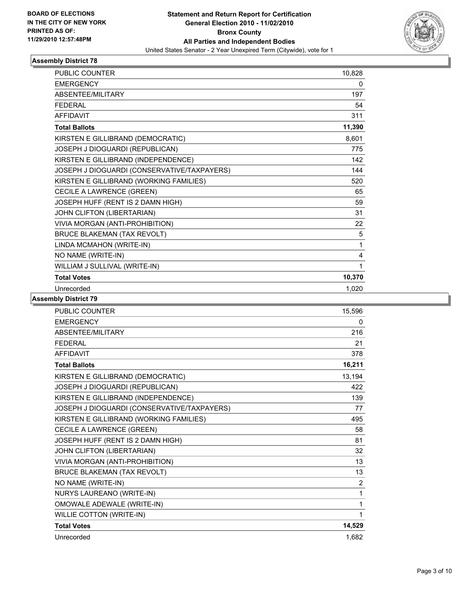

| <b>PUBLIC COUNTER</b>                       | 10,828 |
|---------------------------------------------|--------|
| <b>EMERGENCY</b>                            | 0      |
| ABSENTEE/MILITARY                           | 197    |
| <b>FFDFRAI</b>                              | 54     |
| <b>AFFIDAVIT</b>                            | 311    |
| <b>Total Ballots</b>                        | 11,390 |
| KIRSTEN E GILLIBRAND (DEMOCRATIC)           | 8,601  |
| JOSEPH J DIOGUARDI (REPUBLICAN)             | 775    |
| KIRSTEN E GILLIBRAND (INDEPENDENCE)         | 142    |
| JOSEPH J DIOGUARDI (CONSERVATIVE/TAXPAYERS) | 144    |
| KIRSTEN E GILLIBRAND (WORKING FAMILIES)     | 520    |
| CECILE A LAWRENCE (GREEN)                   | 65     |
| JOSEPH HUFF (RENT IS 2 DAMN HIGH)           | 59     |
| JOHN CLIFTON (LIBERTARIAN)                  | 31     |
| VIVIA MORGAN (ANTI-PROHIBITION)             | 22     |
| <b>BRUCE BLAKEMAN (TAX REVOLT)</b>          | 5      |
| LINDA MCMAHON (WRITE-IN)                    | 1      |
| NO NAME (WRITE-IN)                          | 4      |
| WILLIAM J SULLIVAL (WRITE-IN)               | 1      |
| <b>Total Votes</b>                          | 10,370 |
| Unrecorded                                  | 1,020  |

| <b>PUBLIC COUNTER</b>                       | 15,596 |
|---------------------------------------------|--------|
| <b>EMERGENCY</b>                            | 0      |
| ABSENTEE/MILITARY                           | 216    |
| <b>FFDFRAL</b>                              | 21     |
| <b>AFFIDAVIT</b>                            | 378    |
| <b>Total Ballots</b>                        | 16,211 |
| KIRSTEN E GILLIBRAND (DEMOCRATIC)           | 13,194 |
| JOSEPH J DIOGUARDI (REPUBLICAN)             | 422    |
| KIRSTEN E GILLIBRAND (INDEPENDENCE)         | 139    |
| JOSEPH J DIOGUARDI (CONSERVATIVE/TAXPAYERS) | 77     |
| KIRSTEN E GILLIBRAND (WORKING FAMILIES)     | 495    |
| CECILE A LAWRENCE (GREEN)                   | 58     |
| JOSEPH HUFF (RENT IS 2 DAMN HIGH)           | 81     |
| JOHN CLIFTON (LIBERTARIAN)                  | 32     |
| VIVIA MORGAN (ANTI-PROHIBITION)             | 13     |
| <b>BRUCE BLAKEMAN (TAX REVOLT)</b>          | 13     |
| NO NAME (WRITE-IN)                          | 2      |
| NURYS LAUREANO (WRITE-IN)                   | 1      |
| <b>OMOWALE ADEWALE (WRITE-IN)</b>           | 1      |
| <b>WILLIE COTTON (WRITE-IN)</b>             | 1      |
| <b>Total Votes</b>                          | 14,529 |
| Unrecorded                                  | 1.682  |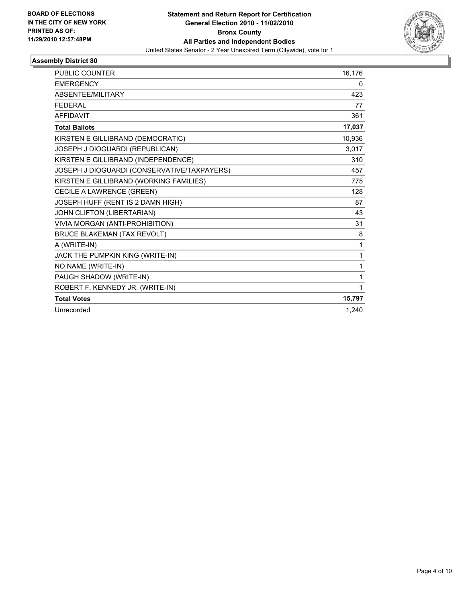

| <b>PUBLIC COUNTER</b>                       | 16,176 |
|---------------------------------------------|--------|
| <b>EMERGENCY</b>                            | 0      |
| <b>ABSENTEE/MILITARY</b>                    | 423    |
| <b>FEDERAL</b>                              | 77     |
| <b>AFFIDAVIT</b>                            | 361    |
| <b>Total Ballots</b>                        | 17,037 |
| KIRSTEN E GILLIBRAND (DEMOCRATIC)           | 10,936 |
| JOSEPH J DIOGUARDI (REPUBLICAN)             | 3,017  |
| KIRSTEN E GILLIBRAND (INDEPENDENCE)         | 310    |
| JOSEPH J DIOGUARDI (CONSERVATIVE/TAXPAYERS) | 457    |
| KIRSTEN E GILLIBRAND (WORKING FAMILIES)     | 775    |
| CECILE A LAWRENCE (GREEN)                   | 128    |
| JOSEPH HUFF (RENT IS 2 DAMN HIGH)           | 87     |
| JOHN CLIFTON (LIBERTARIAN)                  | 43     |
| VIVIA MORGAN (ANTI-PROHIBITION)             | 31     |
| <b>BRUCE BLAKEMAN (TAX REVOLT)</b>          | 8      |
| A (WRITE-IN)                                | 1      |
| JACK THE PUMPKIN KING (WRITE-IN)            | 1      |
| NO NAME (WRITE-IN)                          | 1      |
| PAUGH SHADOW (WRITE-IN)                     | 1      |
| ROBERT F. KENNEDY JR. (WRITE-IN)            | 1      |
| <b>Total Votes</b>                          | 15,797 |
| Unrecorded                                  | 1,240  |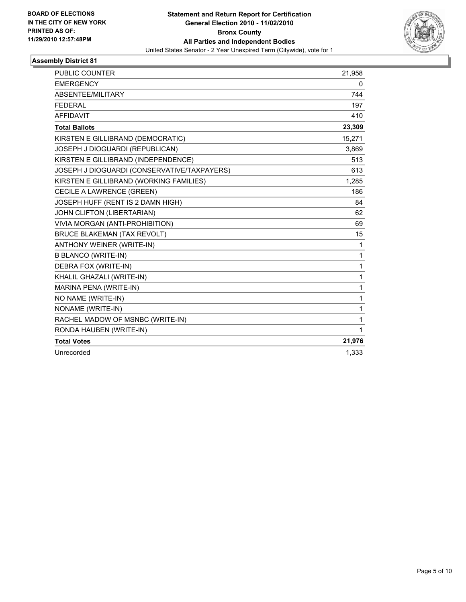

| <b>PUBLIC COUNTER</b>                       | 21,958       |
|---------------------------------------------|--------------|
| <b>EMERGENCY</b>                            | 0            |
| ABSENTEE/MILITARY                           | 744          |
| <b>FEDERAL</b>                              | 197          |
| <b>AFFIDAVIT</b>                            | 410          |
| <b>Total Ballots</b>                        | 23,309       |
| KIRSTEN E GILLIBRAND (DEMOCRATIC)           | 15,271       |
| JOSEPH J DIOGUARDI (REPUBLICAN)             | 3,869        |
| KIRSTEN E GILLIBRAND (INDEPENDENCE)         | 513          |
| JOSEPH J DIOGUARDI (CONSERVATIVE/TAXPAYERS) | 613          |
| KIRSTEN E GILLIBRAND (WORKING FAMILIES)     | 1,285        |
| CECILE A LAWRENCE (GREEN)                   | 186          |
| JOSEPH HUFF (RENT IS 2 DAMN HIGH)           | 84           |
| JOHN CLIFTON (LIBERTARIAN)                  | 62           |
| VIVIA MORGAN (ANTI-PROHIBITION)             | 69           |
| <b>BRUCE BLAKEMAN (TAX REVOLT)</b>          | 15           |
| ANTHONY WEINER (WRITE-IN)                   | 1            |
| <b>B BLANCO (WRITE-IN)</b>                  | 1            |
| DEBRA FOX (WRITE-IN)                        | $\mathbf{1}$ |
| KHALIL GHAZALI (WRITE-IN)                   | $\mathbf{1}$ |
| MARINA PENA (WRITE-IN)                      | 1            |
| NO NAME (WRITE-IN)                          | 1            |
| NONAME (WRITE-IN)                           | 1            |
| RACHEL MADOW OF MSNBC (WRITE-IN)            | 1            |
| RONDA HAUBEN (WRITE-IN)                     | 1            |
| <b>Total Votes</b>                          | 21,976       |
| Unrecorded                                  | 1,333        |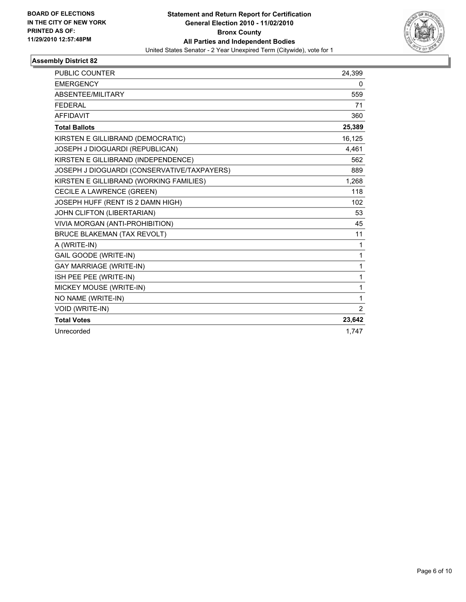

| <b>PUBLIC COUNTER</b>                       | 24,399         |
|---------------------------------------------|----------------|
| <b>EMERGENCY</b>                            | 0              |
| ABSENTEE/MILITARY                           | 559            |
| <b>FEDERAL</b>                              | 71             |
| <b>AFFIDAVIT</b>                            | 360            |
| <b>Total Ballots</b>                        | 25,389         |
| KIRSTEN E GILLIBRAND (DEMOCRATIC)           | 16,125         |
| JOSEPH J DIOGUARDI (REPUBLICAN)             | 4,461          |
| KIRSTEN E GILLIBRAND (INDEPENDENCE)         | 562            |
| JOSEPH J DIOGUARDI (CONSERVATIVE/TAXPAYERS) | 889            |
| KIRSTEN E GILLIBRAND (WORKING FAMILIES)     | 1,268          |
| CECILE A LAWRENCE (GREEN)                   | 118            |
| JOSEPH HUFF (RENT IS 2 DAMN HIGH)           | 102            |
| JOHN CLIFTON (LIBERTARIAN)                  | 53             |
| VIVIA MORGAN (ANTI-PROHIBITION)             | 45             |
| <b>BRUCE BLAKEMAN (TAX REVOLT)</b>          | 11             |
| A (WRITE-IN)                                | 1              |
| <b>GAIL GOODE (WRITE-IN)</b>                | 1              |
| <b>GAY MARRIAGE (WRITE-IN)</b>              | 1              |
| ISH PEE PEE (WRITE-IN)                      | 1              |
| MICKEY MOUSE (WRITE-IN)                     | 1              |
| NO NAME (WRITE-IN)                          | 1              |
| VOID (WRITE-IN)                             | $\overline{2}$ |
| <b>Total Votes</b>                          | 23,642         |
| Unrecorded                                  | 1.747          |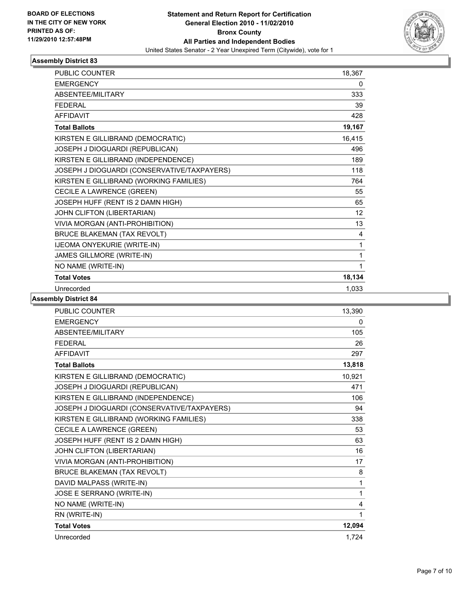

| <b>PUBLIC COUNTER</b>                       | 18,367 |
|---------------------------------------------|--------|
| <b>EMERGENCY</b>                            | 0      |
| ABSENTEE/MILITARY                           | 333    |
| <b>FFDFRAI</b>                              | 39     |
| <b>AFFIDAVIT</b>                            | 428    |
| <b>Total Ballots</b>                        | 19,167 |
| KIRSTEN E GILLIBRAND (DEMOCRATIC)           | 16,415 |
| JOSEPH J DIOGUARDI (REPUBLICAN)             | 496    |
| KIRSTEN E GILLIBRAND (INDEPENDENCE)         | 189    |
| JOSEPH J DIOGUARDI (CONSERVATIVE/TAXPAYERS) | 118    |
| KIRSTEN E GILLIBRAND (WORKING FAMILIES)     | 764    |
| CECILE A LAWRENCE (GREEN)                   | 55     |
| JOSEPH HUFF (RENT IS 2 DAMN HIGH)           | 65     |
| JOHN CLIFTON (LIBERTARIAN)                  | 12     |
| VIVIA MORGAN (ANTI-PROHIBITION)             | 13     |
| <b>BRUCE BLAKEMAN (TAX REVOLT)</b>          | 4      |
| IJEOMA ONYEKURIE (WRITE-IN)                 | 1      |
| JAMES GILLMORE (WRITE-IN)                   | 1      |
| NO NAME (WRITE-IN)                          | 1      |
| <b>Total Votes</b>                          | 18,134 |
| Unrecorded                                  | 1,033  |

| <b>PUBLIC COUNTER</b>                       | 13,390 |
|---------------------------------------------|--------|
| <b>EMERGENCY</b>                            | 0      |
| ABSENTEE/MILITARY                           | 105    |
| <b>FEDERAL</b>                              | 26     |
| <b>AFFIDAVIT</b>                            | 297    |
| <b>Total Ballots</b>                        | 13,818 |
| KIRSTEN E GILLIBRAND (DEMOCRATIC)           | 10,921 |
| JOSEPH J DIOGUARDI (REPUBLICAN)             | 471    |
| KIRSTEN E GILLIBRAND (INDEPENDENCE)         | 106    |
| JOSEPH J DIOGUARDI (CONSERVATIVE/TAXPAYERS) | 94     |
| KIRSTEN E GILLIBRAND (WORKING FAMILIES)     | 338    |
| CECILE A LAWRENCE (GREEN)                   | 53     |
| JOSEPH HUFF (RENT IS 2 DAMN HIGH)           | 63     |
| JOHN CLIFTON (LIBERTARIAN)                  | 16     |
| VIVIA MORGAN (ANTI-PROHIBITION)             | 17     |
| BRUCE BLAKEMAN (TAX REVOLT)                 | 8      |
| DAVID MALPASS (WRITE-IN)                    | 1      |
| JOSE E SERRANO (WRITE-IN)                   | 1      |
| NO NAME (WRITE-IN)                          | 4      |
| RN (WRITE-IN)                               | 1      |
| <b>Total Votes</b>                          | 12,094 |
| Unrecorded                                  | 1.724  |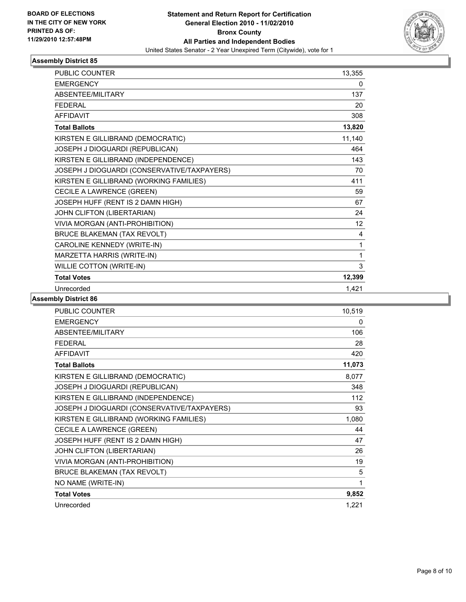

| <b>PUBLIC COUNTER</b>                       | 13,355 |
|---------------------------------------------|--------|
| <b>EMERGENCY</b>                            | 0      |
| ABSENTEE/MILITARY                           | 137    |
| <b>FEDERAL</b>                              | 20     |
| <b>AFFIDAVIT</b>                            | 308    |
| <b>Total Ballots</b>                        | 13,820 |
| KIRSTEN E GILLIBRAND (DEMOCRATIC)           | 11,140 |
| JOSEPH J DIOGUARDI (REPUBLICAN)             | 464    |
| KIRSTEN E GILLIBRAND (INDEPENDENCE)         | 143    |
| JOSEPH J DIOGUARDI (CONSERVATIVE/TAXPAYERS) | 70     |
| KIRSTEN E GILLIBRAND (WORKING FAMILIES)     | 411    |
| CECILE A LAWRENCE (GREEN)                   | 59     |
| JOSEPH HUFF (RENT IS 2 DAMN HIGH)           | 67     |
| JOHN CLIFTON (LIBERTARIAN)                  | 24     |
| VIVIA MORGAN (ANTI-PROHIBITION)             | 12     |
| <b>BRUCE BLAKEMAN (TAX REVOLT)</b>          | 4      |
| CAROLINE KENNEDY (WRITE-IN)                 | 1      |
| MARZETTA HARRIS (WRITE-IN)                  | 1      |
| WILLIE COTTON (WRITE-IN)                    | 3      |
| <b>Total Votes</b>                          | 12,399 |
| Unrecorded                                  | 1,421  |

| PUBLIC COUNTER                              | 10,519 |
|---------------------------------------------|--------|
| <b>EMERGENCY</b>                            | 0      |
| ABSENTEE/MILITARY                           | 106    |
| <b>FEDERAL</b>                              | 28     |
| <b>AFFIDAVIT</b>                            | 420    |
| <b>Total Ballots</b>                        | 11,073 |
| KIRSTEN E GILLIBRAND (DEMOCRATIC)           | 8,077  |
| JOSEPH J DIOGUARDI (REPUBLICAN)             | 348    |
| KIRSTEN E GILLIBRAND (INDEPENDENCE)         | 112    |
| JOSEPH J DIOGUARDI (CONSERVATIVE/TAXPAYERS) | 93     |
| KIRSTEN E GILLIBRAND (WORKING FAMILIES)     | 1,080  |
| CECILE A LAWRENCE (GREEN)                   | 44     |
| JOSEPH HUFF (RENT IS 2 DAMN HIGH)           | 47     |
| JOHN CLIFTON (LIBERTARIAN)                  | 26     |
| VIVIA MORGAN (ANTI-PROHIBITION)             | 19     |
| <b>BRUCE BLAKEMAN (TAX REVOLT)</b>          | 5      |
| NO NAME (WRITE-IN)                          | 1      |
| <b>Total Votes</b>                          | 9,852  |
| Unrecorded                                  | 1,221  |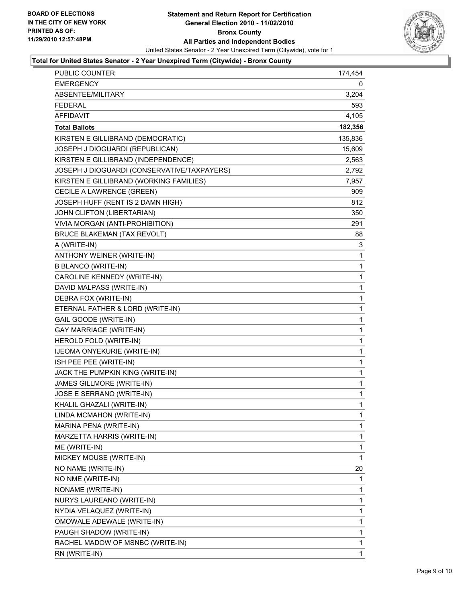

#### **Total for United States Senator - 2 Year Unexpired Term (Citywide) - Bronx County**

| <b>PUBLIC COUNTER</b>                       | 174,454     |
|---------------------------------------------|-------------|
| <b>EMERGENCY</b>                            | 0           |
| ABSENTEE/MILITARY                           | 3,204       |
| <b>FEDERAL</b>                              | 593.        |
| <b>AFFIDAVIT</b>                            | 4,105       |
| <b>Total Ballots</b>                        | 182,356     |
| KIRSTEN E GILLIBRAND (DEMOCRATIC)           | 135,836     |
| JOSEPH J DIOGUARDI (REPUBLICAN)             | 15,609      |
| KIRSTEN E GILLIBRAND (INDEPENDENCE)         | 2,563       |
| JOSEPH J DIOGUARDI (CONSERVATIVE/TAXPAYERS) | 2,792       |
| KIRSTEN E GILLIBRAND (WORKING FAMILIES)     | 7,957       |
| CECILE A LAWRENCE (GREEN)                   | 909         |
| JOSEPH HUFF (RENT IS 2 DAMN HIGH)           | 812         |
| JOHN CLIFTON (LIBERTARIAN)                  | 350         |
| VIVIA MORGAN (ANTI-PROHIBITION)             | 291         |
| <b>BRUCE BLAKEMAN (TAX REVOLT)</b>          | 88          |
| A (WRITE-IN)                                | 3           |
| ANTHONY WEINER (WRITE-IN)                   | 1           |
| <b>B BLANCO (WRITE-IN)</b>                  | 1           |
| CAROLINE KENNEDY (WRITE-IN)                 | 1           |
| DAVID MALPASS (WRITE-IN)                    | 1           |
| DEBRA FOX (WRITE-IN)                        | 1           |
| ETERNAL FATHER & LORD (WRITE-IN)            | 1           |
| GAIL GOODE (WRITE-IN)                       | 1           |
| <b>GAY MARRIAGE (WRITE-IN)</b>              | 1           |
| HEROLD FOLD (WRITE-IN)                      | 1           |
| IJEOMA ONYEKURIE (WRITE-IN)                 | 1           |
| ISH PEE PEE (WRITE-IN)                      | 1           |
| JACK THE PUMPKIN KING (WRITE-IN)            | 1           |
| JAMES GILLMORE (WRITE-IN)                   | 1           |
| JOSE E SERRANO (WRITE-IN)                   | 1           |
| KHALIL GHAZALI (WRITE-IN)                   | 1           |
| LINDA MCMAHON (WRITE-IN)                    | 1           |
| MARINA PENA (WRITE-IN)                      | 1           |
| MARZETTA HARRIS (WRITE-IN)                  | 1           |
| ME (WRITE-IN)                               | 1           |
| MICKEY MOUSE (WRITE-IN)                     | 1           |
| NO NAME (WRITE-IN)                          | 20          |
| NO NME (WRITE-IN)                           | 1           |
| NONAME (WRITE-IN)                           | 1           |
| NURYS LAUREANO (WRITE-IN)                   | 1           |
| NYDIA VELAQUEZ (WRITE-IN)                   | 1           |
| OMOWALE ADEWALE (WRITE-IN)                  | 1           |
| PAUGH SHADOW (WRITE-IN)                     | 1           |
| RACHEL MADOW OF MSNBC (WRITE-IN)            | 1           |
| RN (WRITE-IN)                               | $\mathbf 1$ |